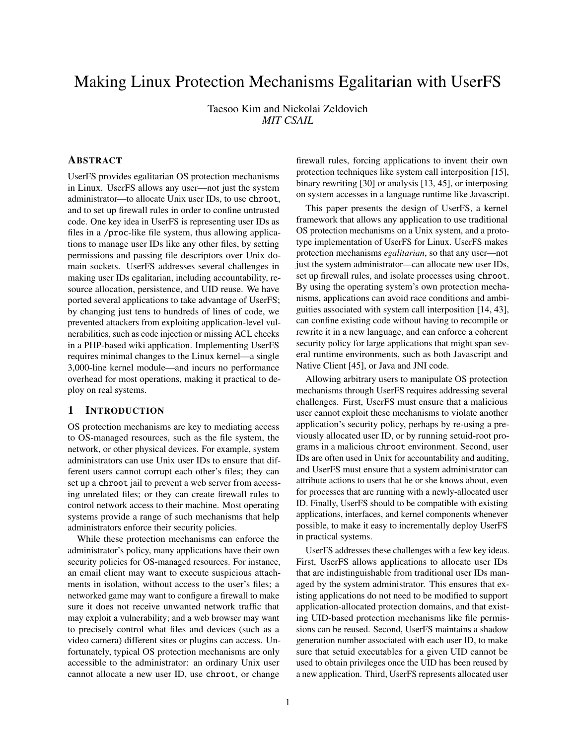# Making Linux Protection Mechanisms Egalitarian with UserFS

Taesoo Kim and Nickolai Zeldovich *MIT CSAIL*

# ABSTRACT

UserFS provides egalitarian OS protection mechanisms in Linux. UserFS allows any user—not just the system administrator—to allocate Unix user IDs, to use chroot, and to set up firewall rules in order to confine untrusted code. One key idea in UserFS is representing user IDs as files in a /proc-like file system, thus allowing applications to manage user IDs like any other files, by setting permissions and passing file descriptors over Unix domain sockets. UserFS addresses several challenges in making user IDs egalitarian, including accountability, resource allocation, persistence, and UID reuse. We have ported several applications to take advantage of UserFS; by changing just tens to hundreds of lines of code, we prevented attackers from exploiting application-level vulnerabilities, such as code injection or missing ACL checks in a PHP-based wiki application. Implementing UserFS requires minimal changes to the Linux kernel—a single 3,000-line kernel module—and incurs no performance overhead for most operations, making it practical to deploy on real systems.

# 1 INTRODUCTION

OS protection mechanisms are key to mediating access to OS-managed resources, such as the file system, the network, or other physical devices. For example, system administrators can use Unix user IDs to ensure that different users cannot corrupt each other's files; they can set up a chroot jail to prevent a web server from accessing unrelated files; or they can create firewall rules to control network access to their machine. Most operating systems provide a range of such mechanisms that help administrators enforce their security policies.

While these protection mechanisms can enforce the administrator's policy, many applications have their own security policies for OS-managed resources. For instance, an email client may want to execute suspicious attachments in isolation, without access to the user's files; a networked game may want to configure a firewall to make sure it does not receive unwanted network traffic that may exploit a vulnerability; and a web browser may want to precisely control what files and devices (such as a video camera) different sites or plugins can access. Unfortunately, typical OS protection mechanisms are only accessible to the administrator: an ordinary Unix user cannot allocate a new user ID, use chroot, or change

firewall rules, forcing applications to invent their own protection techniques like system call interposition [15], binary rewriting [30] or analysis [13, 45], or interposing on system accesses in a language runtime like Javascript.

This paper presents the design of UserFS, a kernel framework that allows any application to use traditional OS protection mechanisms on a Unix system, and a prototype implementation of UserFS for Linux. UserFS makes protection mechanisms *egalitarian*, so that any user—not just the system administrator—can allocate new user IDs, set up firewall rules, and isolate processes using chroot. By using the operating system's own protection mechanisms, applications can avoid race conditions and ambiguities associated with system call interposition [14, 43], can confine existing code without having to recompile or rewrite it in a new language, and can enforce a coherent security policy for large applications that might span several runtime environments, such as both Javascript and Native Client [45], or Java and JNI code.

Allowing arbitrary users to manipulate OS protection mechanisms through UserFS requires addressing several challenges. First, UserFS must ensure that a malicious user cannot exploit these mechanisms to violate another application's security policy, perhaps by re-using a previously allocated user ID, or by running setuid-root programs in a malicious chroot environment. Second, user IDs are often used in Unix for accountability and auditing, and UserFS must ensure that a system administrator can attribute actions to users that he or she knows about, even for processes that are running with a newly-allocated user ID. Finally, UserFS should to be compatible with existing applications, interfaces, and kernel components whenever possible, to make it easy to incrementally deploy UserFS in practical systems.

UserFS addresses these challenges with a few key ideas. First, UserFS allows applications to allocate user IDs that are indistinguishable from traditional user IDs managed by the system administrator. This ensures that existing applications do not need to be modified to support application-allocated protection domains, and that existing UID-based protection mechanisms like file permissions can be reused. Second, UserFS maintains a shadow generation number associated with each user ID, to make sure that setuid executables for a given UID cannot be used to obtain privileges once the UID has been reused by a new application. Third, UserFS represents allocated user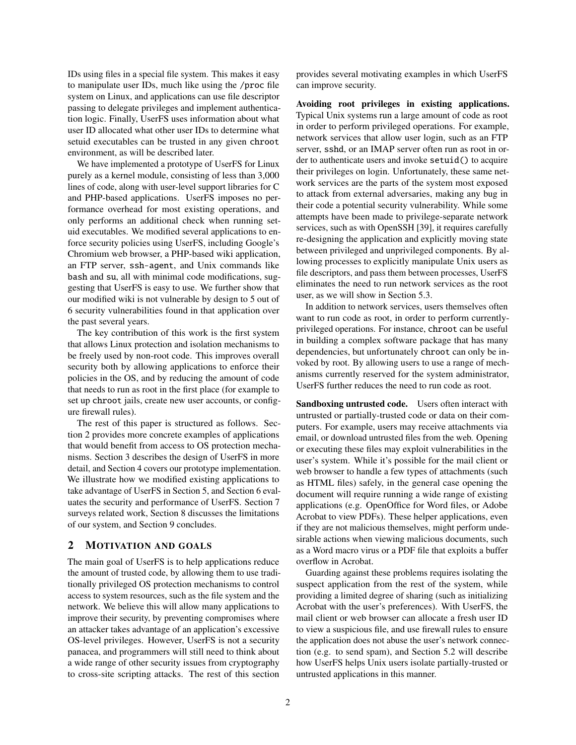IDs using files in a special file system. This makes it easy to manipulate user IDs, much like using the /proc file system on Linux, and applications can use file descriptor passing to delegate privileges and implement authentication logic. Finally, UserFS uses information about what user ID allocated what other user IDs to determine what setuid executables can be trusted in any given chroot environment, as will be described later.

We have implemented a prototype of UserFS for Linux purely as a kernel module, consisting of less than 3,000 lines of code, along with user-level support libraries for C and PHP-based applications. UserFS imposes no performance overhead for most existing operations, and only performs an additional check when running setuid executables. We modified several applications to enforce security policies using UserFS, including Google's Chromium web browser, a PHP-based wiki application, an FTP server, ssh-agent, and Unix commands like bash and su, all with minimal code modifications, suggesting that UserFS is easy to use. We further show that our modified wiki is not vulnerable by design to 5 out of 6 security vulnerabilities found in that application over the past several years.

The key contribution of this work is the first system that allows Linux protection and isolation mechanisms to be freely used by non-root code. This improves overall security both by allowing applications to enforce their policies in the OS, and by reducing the amount of code that needs to run as root in the first place (for example to set up chroot jails, create new user accounts, or configure firewall rules).

The rest of this paper is structured as follows. Section 2 provides more concrete examples of applications that would benefit from access to OS protection mechanisms. Section 3 describes the design of UserFS in more detail, and Section 4 covers our prototype implementation. We illustrate how we modified existing applications to take advantage of UserFS in Section 5, and Section 6 evaluates the security and performance of UserFS. Section 7 surveys related work, Section 8 discusses the limitations of our system, and Section 9 concludes.

## 2 MOTIVATION AND GOALS

The main goal of UserFS is to help applications reduce the amount of trusted code, by allowing them to use traditionally privileged OS protection mechanisms to control access to system resources, such as the file system and the network. We believe this will allow many applications to improve their security, by preventing compromises where an attacker takes advantage of an application's excessive OS-level privileges. However, UserFS is not a security panacea, and programmers will still need to think about a wide range of other security issues from cryptography to cross-site scripting attacks. The rest of this section provides several motivating examples in which UserFS can improve security.

Avoiding root privileges in existing applications. Typical Unix systems run a large amount of code as root in order to perform privileged operations. For example, network services that allow user login, such as an FTP server, sshd, or an IMAP server often run as root in order to authenticate users and invoke setuid() to acquire their privileges on login. Unfortunately, these same network services are the parts of the system most exposed to attack from external adversaries, making any bug in their code a potential security vulnerability. While some attempts have been made to privilege-separate network services, such as with OpenSSH [39], it requires carefully re-designing the application and explicitly moving state between privileged and unprivileged components. By allowing processes to explicitly manipulate Unix users as file descriptors, and pass them between processes, UserFS eliminates the need to run network services as the root user, as we will show in Section 5.3.

In addition to network services, users themselves often want to run code as root, in order to perform currentlyprivileged operations. For instance, chroot can be useful in building a complex software package that has many dependencies, but unfortunately chroot can only be invoked by root. By allowing users to use a range of mechanisms currently reserved for the system administrator, UserFS further reduces the need to run code as root.

Sandboxing untrusted code. Users often interact with untrusted or partially-trusted code or data on their computers. For example, users may receive attachments via email, or download untrusted files from the web. Opening or executing these files may exploit vulnerabilities in the user's system. While it's possible for the mail client or web browser to handle a few types of attachments (such as HTML files) safely, in the general case opening the document will require running a wide range of existing applications (e.g. OpenOffice for Word files, or Adobe Acrobat to view PDFs). These helper applications, even if they are not malicious themselves, might perform undesirable actions when viewing malicious documents, such as a Word macro virus or a PDF file that exploits a buffer overflow in Acrobat.

Guarding against these problems requires isolating the suspect application from the rest of the system, while providing a limited degree of sharing (such as initializing Acrobat with the user's preferences). With UserFS, the mail client or web browser can allocate a fresh user ID to view a suspicious file, and use firewall rules to ensure the application does not abuse the user's network connection (e.g. to send spam), and Section 5.2 will describe how UserFS helps Unix users isolate partially-trusted or untrusted applications in this manner.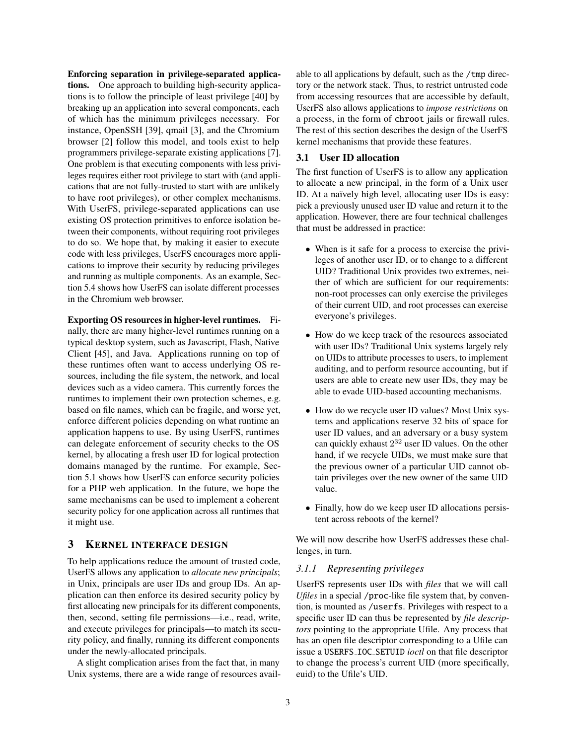Enforcing separation in privilege-separated applications. One approach to building high-security applications is to follow the principle of least privilege [40] by breaking up an application into several components, each of which has the minimum privileges necessary. For instance, OpenSSH [39], qmail [3], and the Chromium browser [2] follow this model, and tools exist to help programmers privilege-separate existing applications [7]. One problem is that executing components with less privileges requires either root privilege to start with (and applications that are not fully-trusted to start with are unlikely to have root privileges), or other complex mechanisms. With UserFS, privilege-separated applications can use existing OS protection primitives to enforce isolation between their components, without requiring root privileges to do so. We hope that, by making it easier to execute code with less privileges, UserFS encourages more applications to improve their security by reducing privileges and running as multiple components. As an example, Section 5.4 shows how UserFS can isolate different processes in the Chromium web browser.

Exporting OS resources in higher-level runtimes. Finally, there are many higher-level runtimes running on a typical desktop system, such as Javascript, Flash, Native Client [45], and Java. Applications running on top of these runtimes often want to access underlying OS resources, including the file system, the network, and local devices such as a video camera. This currently forces the runtimes to implement their own protection schemes, e.g. based on file names, which can be fragile, and worse yet, enforce different policies depending on what runtime an application happens to use. By using UserFS, runtimes can delegate enforcement of security checks to the OS kernel, by allocating a fresh user ID for logical protection domains managed by the runtime. For example, Section 5.1 shows how UserFS can enforce security policies for a PHP web application. In the future, we hope the same mechanisms can be used to implement a coherent security policy for one application across all runtimes that it might use.

## 3 KERNEL INTERFACE DESIGN

To help applications reduce the amount of trusted code, UserFS allows any application to *allocate new principals*; in Unix, principals are user IDs and group IDs. An application can then enforce its desired security policy by first allocating new principals for its different components, then, second, setting file permissions—i.e., read, write, and execute privileges for principals—to match its security policy, and finally, running its different components under the newly-allocated principals.

A slight complication arises from the fact that, in many Unix systems, there are a wide range of resources available to all applications by default, such as the /tmp directory or the network stack. Thus, to restrict untrusted code from accessing resources that are accessible by default, UserFS also allows applications to *impose restrictions* on a process, in the form of chroot jails or firewall rules. The rest of this section describes the design of the UserFS kernel mechanisms that provide these features.

## 3.1 User ID allocation

The first function of UserFS is to allow any application to allocate a new principal, in the form of a Unix user ID. At a naïvely high level, allocating user IDs is easy: pick a previously unused user ID value and return it to the application. However, there are four technical challenges that must be addressed in practice:

- When is it safe for a process to exercise the privileges of another user ID, or to change to a different UID? Traditional Unix provides two extremes, neither of which are sufficient for our requirements: non-root processes can only exercise the privileges of their current UID, and root processes can exercise everyone's privileges.
- How do we keep track of the resources associated with user IDs? Traditional Unix systems largely rely on UIDs to attribute processes to users, to implement auditing, and to perform resource accounting, but if users are able to create new user IDs, they may be able to evade UID-based accounting mechanisms.
- How do we recycle user ID values? Most Unix systems and applications reserve 32 bits of space for user ID values, and an adversary or a busy system can quickly exhaust  $2^{32}$  user ID values. On the other hand, if we recycle UIDs, we must make sure that the previous owner of a particular UID cannot obtain privileges over the new owner of the same UID value.
- Finally, how do we keep user ID allocations persistent across reboots of the kernel?

We will now describe how UserFS addresses these challenges, in turn.

#### *3.1.1 Representing privileges*

UserFS represents user IDs with *files* that we will call *Ufiles* in a special /proc-like file system that, by convention, is mounted as /userfs. Privileges with respect to a specific user ID can thus be represented by *file descriptors* pointing to the appropriate Ufile. Any process that has an open file descriptor corresponding to a Ufile can issue a USERFS IOC SETUID *ioctl* on that file descriptor to change the process's current UID (more specifically, euid) to the Ufile's UID.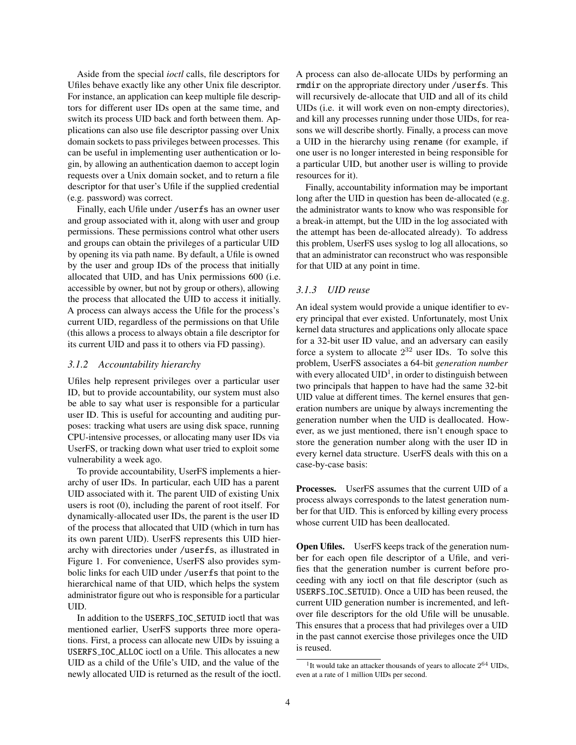Aside from the special *ioctl* calls, file descriptors for Ufiles behave exactly like any other Unix file descriptor. For instance, an application can keep multiple file descriptors for different user IDs open at the same time, and switch its process UID back and forth between them. Applications can also use file descriptor passing over Unix domain sockets to pass privileges between processes. This can be useful in implementing user authentication or login, by allowing an authentication daemon to accept login requests over a Unix domain socket, and to return a file descriptor for that user's Ufile if the supplied credential (e.g. password) was correct.

Finally, each Ufile under /userfs has an owner user and group associated with it, along with user and group permissions. These permissions control what other users and groups can obtain the privileges of a particular UID by opening its via path name. By default, a Ufile is owned by the user and group IDs of the process that initially allocated that UID, and has Unix permissions 600 (i.e. accessible by owner, but not by group or others), allowing the process that allocated the UID to access it initially. A process can always access the Ufile for the process's current UID, regardless of the permissions on that Ufile (this allows a process to always obtain a file descriptor for its current UID and pass it to others via FD passing).

#### *3.1.2 Accountability hierarchy*

Ufiles help represent privileges over a particular user ID, but to provide accountability, our system must also be able to say what user is responsible for a particular user ID. This is useful for accounting and auditing purposes: tracking what users are using disk space, running CPU-intensive processes, or allocating many user IDs via UserFS, or tracking down what user tried to exploit some vulnerability a week ago.

To provide accountability, UserFS implements a hierarchy of user IDs. In particular, each UID has a parent UID associated with it. The parent UID of existing Unix users is root (0), including the parent of root itself. For dynamically-allocated user IDs, the parent is the user ID of the process that allocated that UID (which in turn has its own parent UID). UserFS represents this UID hierarchy with directories under /userfs, as illustrated in Figure 1. For convenience, UserFS also provides symbolic links for each UID under /userfs that point to the hierarchical name of that UID, which helps the system administrator figure out who is responsible for a particular UID.

In addition to the USERFS IOC SETUID ioctl that was mentioned earlier, UserFS supports three more operations. First, a process can allocate new UIDs by issuing a USERFS IOC ALLOC ioctl on a Ufile. This allocates a new UID as a child of the Ufile's UID, and the value of the newly allocated UID is returned as the result of the ioctl. A process can also de-allocate UIDs by performing an rmdir on the appropriate directory under /userfs. This will recursively de-allocate that UID and all of its child UIDs (i.e. it will work even on non-empty directories), and kill any processes running under those UIDs, for reasons we will describe shortly. Finally, a process can move a UID in the hierarchy using rename (for example, if one user is no longer interested in being responsible for a particular UID, but another user is willing to provide resources for it).

Finally, accountability information may be important long after the UID in question has been de-allocated (e.g. the administrator wants to know who was responsible for a break-in attempt, but the UID in the log associated with the attempt has been de-allocated already). To address this problem, UserFS uses syslog to log all allocations, so that an administrator can reconstruct who was responsible for that UID at any point in time.

#### *3.1.3 UID reuse*

An ideal system would provide a unique identifier to every principal that ever existed. Unfortunately, most Unix kernel data structures and applications only allocate space for a 32-bit user ID value, and an adversary can easily force a system to allocate  $2^{32}$  user IDs. To solve this problem, UserFS associates a 64-bit *generation number* with every allocated  $UID<sup>1</sup>$ , in order to distinguish between two principals that happen to have had the same 32-bit UID value at different times. The kernel ensures that generation numbers are unique by always incrementing the generation number when the UID is deallocated. However, as we just mentioned, there isn't enough space to store the generation number along with the user ID in every kernel data structure. UserFS deals with this on a case-by-case basis:

Processes. UserFS assumes that the current UID of a process always corresponds to the latest generation number for that UID. This is enforced by killing every process whose current UID has been deallocated.

**Open Ufiles.** UserFS keeps track of the generation number for each open file descriptor of a Ufile, and verifies that the generation number is current before proceeding with any ioctl on that file descriptor (such as USERFS IOC SETUID). Once a UID has been reused, the current UID generation number is incremented, and leftover file descriptors for the old Ufile will be unusable. This ensures that a process that had privileges over a UID in the past cannot exercise those privileges once the UID is reused.

<sup>&</sup>lt;sup>1</sup>It would take an attacker thousands of years to allocate  $2^{64}$  UIDs, even at a rate of 1 million UIDs per second.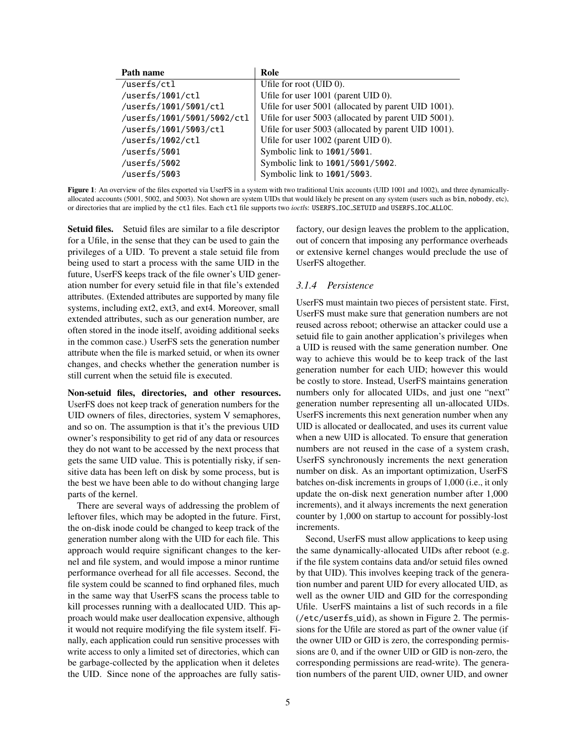| Path name                  | Role                                                |
|----------------------------|-----------------------------------------------------|
| /userfs/ctl                | Ufile for root $(UID 0)$ .                          |
| /userfs/1001/ctl           | Ufile for user 1001 (parent UID 0).                 |
| /userfs/1001/5001/ctl      | Ufile for user 5001 (allocated by parent UID 1001). |
| /userfs/1001/5001/5002/ctl | Ufile for user 5003 (allocated by parent UID 5001). |
| /userfs/1001/5003/ctl      | Ufile for user 5003 (allocated by parent UID 1001). |
| /userfs/1002/ctl           | Ufile for user 1002 (parent UID 0).                 |
| /userfs/5001               | Symbolic link to 1001/5001.                         |
| /userfs/5002               | Symbolic link to 1001/5001/5002.                    |
| /userfs/5003               | Symbolic link to 1001/5003.                         |

Figure 1: An overview of the files exported via UserFS in a system with two traditional Unix accounts (UID 1001 and 1002), and three dynamicallyallocated accounts (5001, 5002, and 5003). Not shown are system UIDs that would likely be present on any system (users such as bin, nobody, etc), or directories that are implied by the ctl files. Each ctl file supports two *ioctl*s: USERFS IOC SETUID and USERFS IOC ALLOC.

Setuid files. Setuid files are similar to a file descriptor for a Ufile, in the sense that they can be used to gain the privileges of a UID. To prevent a stale setuid file from being used to start a process with the same UID in the future, UserFS keeps track of the file owner's UID generation number for every setuid file in that file's extended attributes. (Extended attributes are supported by many file systems, including ext2, ext3, and ext4. Moreover, small extended attributes, such as our generation number, are often stored in the inode itself, avoiding additional seeks in the common case.) UserFS sets the generation number attribute when the file is marked setuid, or when its owner changes, and checks whether the generation number is still current when the setuid file is executed.

Non-setuid files, directories, and other resources. UserFS does not keep track of generation numbers for the UID owners of files, directories, system V semaphores, and so on. The assumption is that it's the previous UID owner's responsibility to get rid of any data or resources they do not want to be accessed by the next process that gets the same UID value. This is potentially risky, if sensitive data has been left on disk by some process, but is the best we have been able to do without changing large parts of the kernel.

There are several ways of addressing the problem of leftover files, which may be adopted in the future. First, the on-disk inode could be changed to keep track of the generation number along with the UID for each file. This approach would require significant changes to the kernel and file system, and would impose a minor runtime performance overhead for all file accesses. Second, the file system could be scanned to find orphaned files, much in the same way that UserFS scans the process table to kill processes running with a deallocated UID. This approach would make user deallocation expensive, although it would not require modifying the file system itself. Finally, each application could run sensitive processes with write access to only a limited set of directories, which can be garbage-collected by the application when it deletes the UID. Since none of the approaches are fully satisfactory, our design leaves the problem to the application, out of concern that imposing any performance overheads or extensive kernel changes would preclude the use of UserFS altogether.

## *3.1.4 Persistence*

UserFS must maintain two pieces of persistent state. First, UserFS must make sure that generation numbers are not reused across reboot; otherwise an attacker could use a setuid file to gain another application's privileges when a UID is reused with the same generation number. One way to achieve this would be to keep track of the last generation number for each UID; however this would be costly to store. Instead, UserFS maintains generation numbers only for allocated UIDs, and just one "next" generation number representing all un-allocated UIDs. UserFS increments this next generation number when any UID is allocated or deallocated, and uses its current value when a new UID is allocated. To ensure that generation numbers are not reused in the case of a system crash, UserFS synchronously increments the next generation number on disk. As an important optimization, UserFS batches on-disk increments in groups of 1,000 (i.e., it only update the on-disk next generation number after 1,000 increments), and it always increments the next generation counter by 1,000 on startup to account for possibly-lost increments.

Second, UserFS must allow applications to keep using the same dynamically-allocated UIDs after reboot (e.g. if the file system contains data and/or setuid files owned by that UID). This involves keeping track of the generation number and parent UID for every allocated UID, as well as the owner UID and GID for the corresponding Ufile. UserFS maintains a list of such records in a file (/etc/userfs uid), as shown in Figure 2. The permissions for the Ufile are stored as part of the owner value (if the owner UID or GID is zero, the corresponding permissions are 0, and if the owner UID or GID is non-zero, the corresponding permissions are read-write). The generation numbers of the parent UID, owner UID, and owner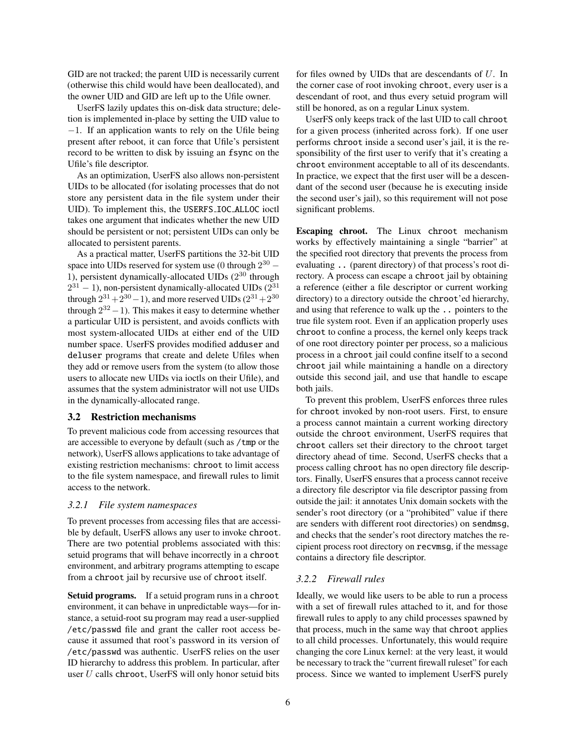GID are not tracked; the parent UID is necessarily current (otherwise this child would have been deallocated), and the owner UID and GID are left up to the Ufile owner.

UserFS lazily updates this on-disk data structure; deletion is implemented in-place by setting the UID value to −1. If an application wants to rely on the Ufile being present after reboot, it can force that Ufile's persistent record to be written to disk by issuing an fsync on the Ufile's file descriptor.

As an optimization, UserFS also allows non-persistent UIDs to be allocated (for isolating processes that do not store any persistent data in the file system under their UID). To implement this, the USERFS IOC ALLOC ioctl takes one argument that indicates whether the new UID should be persistent or not; persistent UIDs can only be allocated to persistent parents.

As a practical matter, UserFS partitions the 32-bit UID space into UIDs reserved for system use (0 through  $2^{30}$  – 1), persistent dynamically-allocated UIDs  $(2^{30}$  through  $2^{31} - 1$ ), non-persistent dynamically-allocated UIDs  $(2^{31} - 1)$ through  $2^{31}+2^{30}-1$ ), and more reserved UIDs  $(2^{31}+2^{30}$ through  $2^{32} - 1$ ). This makes it easy to determine whether a particular UID is persistent, and avoids conflicts with most system-allocated UIDs at either end of the UID number space. UserFS provides modified adduser and deluser programs that create and delete Ufiles when they add or remove users from the system (to allow those users to allocate new UIDs via ioctls on their Ufile), and assumes that the system administrator will not use UIDs in the dynamically-allocated range.

#### 3.2 Restriction mechanisms

To prevent malicious code from accessing resources that are accessible to everyone by default (such as /tmp or the network), UserFS allows applications to take advantage of existing restriction mechanisms: chroot to limit access to the file system namespace, and firewall rules to limit access to the network.

#### *3.2.1 File system namespaces*

To prevent processes from accessing files that are accessible by default, UserFS allows any user to invoke chroot. There are two potential problems associated with this: setuid programs that will behave incorrectly in a chroot environment, and arbitrary programs attempting to escape from a chroot jail by recursive use of chroot itself.

Setuid programs. If a setuid program runs in a chroot environment, it can behave in unpredictable ways—for instance, a setuid-root su program may read a user-supplied /etc/passwd file and grant the caller root access because it assumed that root's password in its version of /etc/passwd was authentic. UserFS relies on the user ID hierarchy to address this problem. In particular, after user  $U$  calls chroot, UserFS will only honor setuid bits

for files owned by UIDs that are descendants of U. In the corner case of root invoking chroot, every user is a descendant of root, and thus every setuid program will still be honored, as on a regular Linux system.

UserFS only keeps track of the last UID to call chroot for a given process (inherited across fork). If one user performs chroot inside a second user's jail, it is the responsibility of the first user to verify that it's creating a chroot environment acceptable to all of its descendants. In practice, we expect that the first user will be a descendant of the second user (because he is executing inside the second user's jail), so this requirement will not pose significant problems.

Escaping chroot. The Linux chroot mechanism works by effectively maintaining a single "barrier" at the specified root directory that prevents the process from evaluating .. (parent directory) of that process's root directory. A process can escape a chroot jail by obtaining a reference (either a file descriptor or current working directory) to a directory outside the chroot'ed hierarchy, and using that reference to walk up the .. pointers to the true file system root. Even if an application properly uses chroot to confine a process, the kernel only keeps track of one root directory pointer per process, so a malicious process in a chroot jail could confine itself to a second chroot jail while maintaining a handle on a directory outside this second jail, and use that handle to escape both jails.

To prevent this problem, UserFS enforces three rules for chroot invoked by non-root users. First, to ensure a process cannot maintain a current working directory outside the chroot environment, UserFS requires that chroot callers set their directory to the chroot target directory ahead of time. Second, UserFS checks that a process calling chroot has no open directory file descriptors. Finally, UserFS ensures that a process cannot receive a directory file descriptor via file descriptor passing from outside the jail: it annotates Unix domain sockets with the sender's root directory (or a "prohibited" value if there are senders with different root directories) on sendmsg, and checks that the sender's root directory matches the recipient process root directory on recvmsg, if the message contains a directory file descriptor.

## *3.2.2 Firewall rules*

Ideally, we would like users to be able to run a process with a set of firewall rules attached to it, and for those firewall rules to apply to any child processes spawned by that process, much in the same way that chroot applies to all child processes. Unfortunately, this would require changing the core Linux kernel: at the very least, it would be necessary to track the "current firewall ruleset" for each process. Since we wanted to implement UserFS purely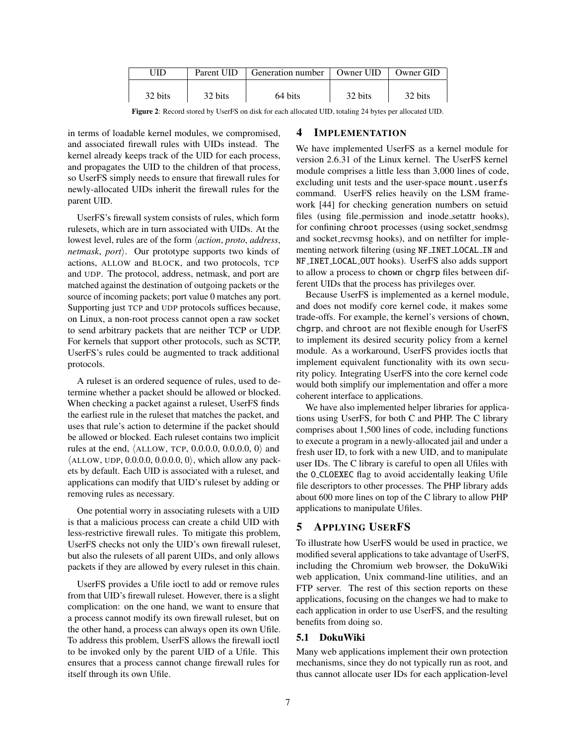| JID     | Parent UID | Generation number   Owner UID |         | Owner GID |
|---------|------------|-------------------------------|---------|-----------|
| 32 bits | 32 bits    | 64 bits                       | 32 bits | 32 bits   |

Figure 2: Record stored by UserFS on disk for each allocated UID, totaling 24 bytes per allocated UID.

in terms of loadable kernel modules, we compromised, and associated firewall rules with UIDs instead. The kernel already keeps track of the UID for each process, and propagates the UID to the children of that process, so UserFS simply needs to ensure that firewall rules for newly-allocated UIDs inherit the firewall rules for the parent UID.

UserFS's firewall system consists of rules, which form rulesets, which are in turn associated with UIDs. At the lowest level, rules are of the form *<i>action*, *proto*, *address*, *netmask, port*). Our prototype supports two kinds of actions, ALLOW and BLOCK, and two protocols, TCP and UDP. The protocol, address, netmask, and port are matched against the destination of outgoing packets or the source of incoming packets; port value 0 matches any port. Supporting just TCP and UDP protocols suffices because, on Linux, a non-root process cannot open a raw socket to send arbitrary packets that are neither TCP or UDP. For kernels that support other protocols, such as SCTP, UserFS's rules could be augmented to track additional protocols.

A ruleset is an ordered sequence of rules, used to determine whether a packet should be allowed or blocked. When checking a packet against a ruleset, UserFS finds the earliest rule in the ruleset that matches the packet, and uses that rule's action to determine if the packet should be allowed or blocked. Each ruleset contains two implicit rules at the end,  $\langle$ ALLOW, TCP, 0.0.0.0, 0.0.0.0, 0 $\rangle$  and  $\langle$ ALLOW, UDP, 0.0.0.0, 0.0.0.0, 0 $\rangle$ , which allow any packets by default. Each UID is associated with a ruleset, and applications can modify that UID's ruleset by adding or removing rules as necessary.

One potential worry in associating rulesets with a UID is that a malicious process can create a child UID with less-restrictive firewall rules. To mitigate this problem, UserFS checks not only the UID's own firewall ruleset, but also the rulesets of all parent UIDs, and only allows packets if they are allowed by every ruleset in this chain.

UserFS provides a Ufile ioctl to add or remove rules from that UID's firewall ruleset. However, there is a slight complication: on the one hand, we want to ensure that a process cannot modify its own firewall ruleset, but on the other hand, a process can always open its own Ufile. To address this problem, UserFS allows the firewall ioctl to be invoked only by the parent UID of a Ufile. This ensures that a process cannot change firewall rules for itself through its own Ufile.

# 4 IMPLEMENTATION

We have implemented UserFS as a kernel module for version 2.6.31 of the Linux kernel. The UserFS kernel module comprises a little less than 3,000 lines of code, excluding unit tests and the user-space mount.userfs command. UserFS relies heavily on the LSM framework [44] for checking generation numbers on setuid files (using file permission and inode setattr hooks), for confining chroot processes (using socket sendmsg and socket recvmsg hooks), and on netfilter for implementing network filtering (using NF INET LOCAL IN and NF INET LOCAL OUT hooks). UserFS also adds support to allow a process to chown or chgrp files between different UIDs that the process has privileges over.

Because UserFS is implemented as a kernel module, and does not modify core kernel code, it makes some trade-offs. For example, the kernel's versions of chown, chgrp, and chroot are not flexible enough for UserFS to implement its desired security policy from a kernel module. As a workaround, UserFS provides ioctls that implement equivalent functionality with its own security policy. Integrating UserFS into the core kernel code would both simplify our implementation and offer a more coherent interface to applications.

We have also implemented helper libraries for applications using UserFS, for both C and PHP. The C library comprises about 1,500 lines of code, including functions to execute a program in a newly-allocated jail and under a fresh user ID, to fork with a new UID, and to manipulate user IDs. The C library is careful to open all Ufiles with the O\_CLOEXEC flag to avoid accidentally leaking Ufile file descriptors to other processes. The PHP library adds about 600 more lines on top of the C library to allow PHP applications to manipulate Ufiles.

# 5 APPLYING USERFS

To illustrate how UserFS would be used in practice, we modified several applications to take advantage of UserFS, including the Chromium web browser, the DokuWiki web application, Unix command-line utilities, and an FTP server. The rest of this section reports on these applications, focusing on the changes we had to make to each application in order to use UserFS, and the resulting benefits from doing so.

## 5.1 DokuWiki

Many web applications implement their own protection mechanisms, since they do not typically run as root, and thus cannot allocate user IDs for each application-level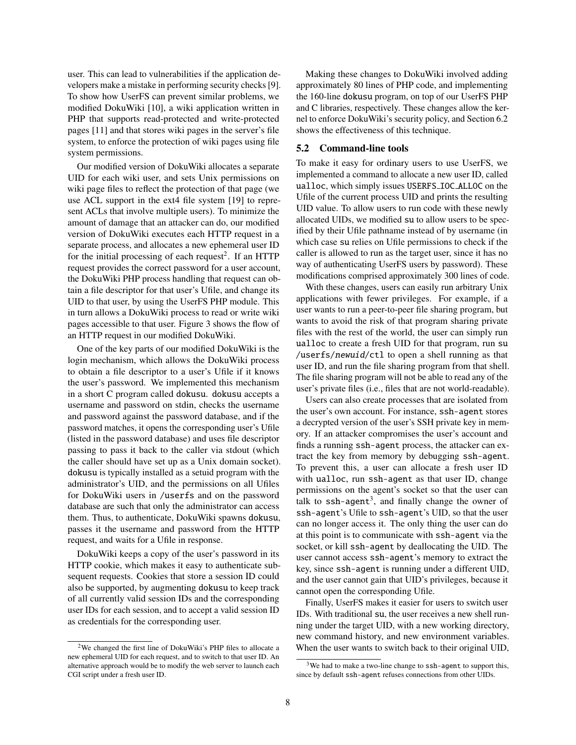user. This can lead to vulnerabilities if the application developers make a mistake in performing security checks [9]. To show how UserFS can prevent similar problems, we modified DokuWiki [10], a wiki application written in PHP that supports read-protected and write-protected pages [11] and that stores wiki pages in the server's file system, to enforce the protection of wiki pages using file system permissions.

Our modified version of DokuWiki allocates a separate UID for each wiki user, and sets Unix permissions on wiki page files to reflect the protection of that page (we use ACL support in the ext4 file system [19] to represent ACLs that involve multiple users). To minimize the amount of damage that an attacker can do, our modified version of DokuWiki executes each HTTP request in a separate process, and allocates a new ephemeral user ID for the initial processing of each request<sup>2</sup>. If an HTTP request provides the correct password for a user account, the DokuWiki PHP process handling that request can obtain a file descriptor for that user's Ufile, and change its UID to that user, by using the UserFS PHP module. This in turn allows a DokuWiki process to read or write wiki pages accessible to that user. Figure 3 shows the flow of an HTTP request in our modified DokuWiki.

One of the key parts of our modified DokuWiki is the login mechanism, which allows the DokuWiki process to obtain a file descriptor to a user's Ufile if it knows the user's password. We implemented this mechanism in a short C program called dokusu. dokusu accepts a username and password on stdin, checks the username and password against the password database, and if the password matches, it opens the corresponding user's Ufile (listed in the password database) and uses file descriptor passing to pass it back to the caller via stdout (which the caller should have set up as a Unix domain socket). dokusu is typically installed as a setuid program with the administrator's UID, and the permissions on all Ufiles for DokuWiki users in /userfs and on the password database are such that only the administrator can access them. Thus, to authenticate, DokuWiki spawns dokusu, passes it the username and password from the HTTP request, and waits for a Ufile in response.

DokuWiki keeps a copy of the user's password in its HTTP cookie, which makes it easy to authenticate subsequent requests. Cookies that store a session ID could also be supported, by augmenting dokusu to keep track of all currently valid session IDs and the corresponding user IDs for each session, and to accept a valid session ID as credentials for the corresponding user.

Making these changes to DokuWiki involved adding approximately 80 lines of PHP code, and implementing the 160-line dokusu program, on top of our UserFS PHP and C libraries, respectively. These changes allow the kernel to enforce DokuWiki's security policy, and Section 6.2 shows the effectiveness of this technique.

#### 5.2 Command-line tools

To make it easy for ordinary users to use UserFS, we implemented a command to allocate a new user ID, called ualloc, which simply issues USERFS IOC ALLOC on the Ufile of the current process UID and prints the resulting UID value. To allow users to run code with these newly allocated UIDs, we modified su to allow users to be specified by their Ufile pathname instead of by username (in which case su relies on Ufile permissions to check if the caller is allowed to run as the target user, since it has no way of authenticating UserFS users by password). These modifications comprised approximately 300 lines of code.

With these changes, users can easily run arbitrary Unix applications with fewer privileges. For example, if a user wants to run a peer-to-peer file sharing program, but wants to avoid the risk of that program sharing private files with the rest of the world, the user can simply run ualloc to create a fresh UID for that program, run su /userfs/newuid/ctl to open a shell running as that user ID, and run the file sharing program from that shell. The file sharing program will not be able to read any of the user's private files (i.e., files that are not world-readable).

Users can also create processes that are isolated from the user's own account. For instance, ssh-agent stores a decrypted version of the user's SSH private key in memory. If an attacker compromises the user's account and finds a running ssh-agent process, the attacker can extract the key from memory by debugging ssh-agent. To prevent this, a user can allocate a fresh user ID with ualloc, run ssh-agent as that user ID, change permissions on the agent's socket so that the user can talk to  $\text{ssh-agent}^3$ , and finally change the owner of ssh-agent's Ufile to ssh-agent's UID, so that the user can no longer access it. The only thing the user can do at this point is to communicate with ssh-agent via the socket, or kill ssh-agent by deallocating the UID. The user cannot access ssh-agent's memory to extract the key, since ssh-agent is running under a different UID, and the user cannot gain that UID's privileges, because it cannot open the corresponding Ufile.

Finally, UserFS makes it easier for users to switch user IDs. With traditional su, the user receives a new shell running under the target UID, with a new working directory, new command history, and new environment variables. When the user wants to switch back to their original UID,

<sup>2</sup>We changed the first line of DokuWiki's PHP files to allocate a new ephemeral UID for each request, and to switch to that user ID. An alternative approach would be to modify the web server to launch each CGI script under a fresh user ID.

 $3$ We had to make a two-line change to ssh-agent to support this, since by default ssh-agent refuses connections from other UIDs.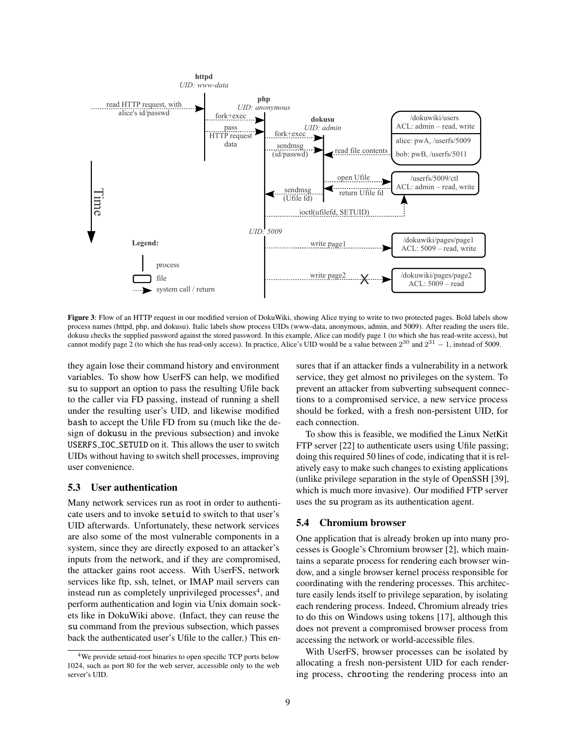

Figure 3: Flow of an HTTP request in our modified version of DokuWiki, showing Alice trying to write to two protected pages. Bold labels show process names (httpd, php, and dokusu). Italic labels show process UIDs (www-data, anonymous, admin, and 5009). After reading the users file, dokusu checks the supplied password against the stored password. In this example, Alice can modify page 1 (to which she has read-write access), but cannot modify page 2 (to which she has read-only access). In practice, Alice's UID would be a value between  $2^{30}$  and  $2^{31} - 1$ , instead of 5009.

they again lose their command history and environment variables. To show how UserFS can help, we modified su to support an option to pass the resulting Ufile back to the caller via FD passing, instead of running a shell under the resulting user's UID, and likewise modified bash to accept the Ufile FD from su (much like the design of dokusu in the previous subsection) and invoke USERFS IOC SETUID on it. This allows the user to switch UIDs without having to switch shell processes, improving user convenience.

## 5.3 User authentication

Many network services run as root in order to authenticate users and to invoke setuid to switch to that user's UID afterwards. Unfortunately, these network services are also some of the most vulnerable components in a system, since they are directly exposed to an attacker's inputs from the network, and if they are compromised, the attacker gains root access. With UserFS, network services like ftp, ssh, telnet, or IMAP mail servers can instead run as completely unprivileged processes<sup>4</sup>, and perform authentication and login via Unix domain sockets like in DokuWiki above. (Infact, they can reuse the su command from the previous subsection, which passes back the authenticated user's Ufile to the caller.) This ensures that if an attacker finds a vulnerability in a network service, they get almost no privileges on the system. To prevent an attacker from subverting subsequent connections to a compromised service, a new service process should be forked, with a fresh non-persistent UID, for each connection.

To show this is feasible, we modified the Linux NetKit FTP server [22] to authenticate users using Ufile passing; doing this required 50 lines of code, indicating that it is relatively easy to make such changes to existing applications (unlike privilege separation in the style of OpenSSH [39], which is much more invasive). Our modified FTP server uses the su program as its authentication agent.

## 5.4 Chromium browser

One application that is already broken up into many processes is Google's Chromium browser [2], which maintains a separate process for rendering each browser window, and a single browser kernel process responsible for coordinating with the rendering processes. This architecture easily lends itself to privilege separation, by isolating each rendering process. Indeed, Chromium already tries to do this on Windows using tokens [17], although this does not prevent a compromised browser process from accessing the network or world-accessible files.

With UserFS, browser processes can be isolated by allocating a fresh non-persistent UID for each rendering process, chrooting the rendering process into an

<sup>4</sup>We provide setuid-root binaries to open specific TCP ports below 1024, such as port 80 for the web server, accessible only to the web server's UID.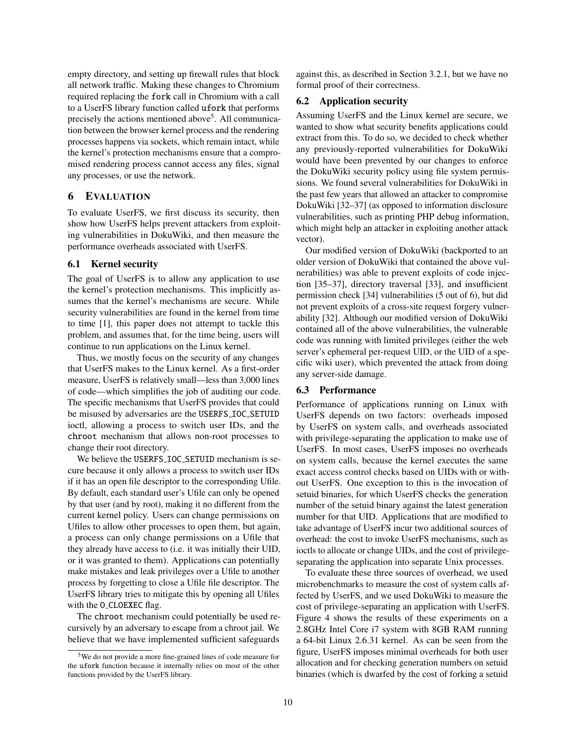empty directory, and setting up firewall rules that block all network traffic. Making these changes to Chromium required replacing the fork call in Chromium with a call to a UserFS library function called ufork that performs precisely the actions mentioned above<sup>5</sup>. All communication between the browser kernel process and the rendering processes happens via sockets, which remain intact, while the kernel's protection mechanisms ensure that a compromised rendering process cannot access any files, signal any processes, or use the network.

# 6 EVALUATION

To evaluate UserFS, we first discuss its security, then show how UserFS helps prevent attackers from exploiting vulnerabilities in DokuWiki, and then measure the performance overheads associated with UserFS.

## 6.1 Kernel security

The goal of UserFS is to allow any application to use the kernel's protection mechanisms. This implicitly assumes that the kernel's mechanisms are secure. While security vulnerabilities are found in the kernel from time to time [1], this paper does not attempt to tackle this problem, and assumes that, for the time being, users will continue to run applications on the Linux kernel.

Thus, we mostly focus on the security of any changes that UserFS makes to the Linux kernel. As a first-order measure, UserFS is relatively small—less than 3,000 lines of code—which simplifies the job of auditing our code. The specific mechanisms that UserFS provides that could be misused by adversaries are the USERFS IOC SETUID ioctl, allowing a process to switch user IDs, and the chroot mechanism that allows non-root processes to change their root directory.

We believe the USERFS\_IOC\_SETUID mechanism is secure because it only allows a process to switch user IDs if it has an open file descriptor to the corresponding Ufile. By default, each standard user's Ufile can only be opened by that user (and by root), making it no different from the current kernel policy. Users can change permissions on Ufiles to allow other processes to open them, but again, a process can only change permissions on a Ufile that they already have access to (i.e. it was initially their UID, or it was granted to them). Applications can potentially make mistakes and leak privileges over a Ufile to another process by forgetting to close a Ufile file descriptor. The UserFS library tries to mitigate this by opening all Ufiles with the O\_CLOEXEC flag.

The chroot mechanism could potentially be used recursively by an adversary to escape from a chroot jail. We believe that we have implemented sufficient safeguards

against this, as described in Section 3.2.1, but we have no formal proof of their correctness.

#### 6.2 Application security

Assuming UserFS and the Linux kernel are secure, we wanted to show what security benefits applications could extract from this. To do so, we decided to check whether any previously-reported vulnerabilities for DokuWiki would have been prevented by our changes to enforce the DokuWiki security policy using file system permissions. We found several vulnerabilities for DokuWiki in the past few years that allowed an attacker to compromise DokuWiki [32–37] (as opposed to information disclosure vulnerabilities, such as printing PHP debug information, which might help an attacker in exploiting another attack vector).

Our modified version of DokuWiki (backported to an older version of DokuWiki that contained the above vulnerabilities) was able to prevent exploits of code injection [35–37], directory traversal [33], and insufficient permission check [34] vulnerabilities (5 out of 6), but did not prevent exploits of a cross-site request forgery vulnerability [32]. Although our modified version of DokuWiki contained all of the above vulnerabilities, the vulnerable code was running with limited privileges (either the web server's ephemeral per-request UID, or the UID of a specific wiki user), which prevented the attack from doing any server-side damage.

#### 6.3 Performance

Performance of applications running on Linux with UserFS depends on two factors: overheads imposed by UserFS on system calls, and overheads associated with privilege-separating the application to make use of UserFS. In most cases, UserFS imposes no overheads on system calls, because the kernel executes the same exact access control checks based on UIDs with or without UserFS. One exception to this is the invocation of setuid binaries, for which UserFS checks the generation number of the setuid binary against the latest generation number for that UID. Applications that are modified to take advantage of UserFS incur two additional sources of overhead: the cost to invoke UserFS mechanisms, such as ioctls to allocate or change UIDs, and the cost of privilegeseparating the application into separate Unix processes.

To evaluate these three sources of overhead, we used microbenchmarks to measure the cost of system calls affected by UserFS, and we used DokuWiki to measure the cost of privilege-separating an application with UserFS. Figure 4 shows the results of these experiments on a 2.8GHz Intel Core i7 system with 8GB RAM running a 64-bit Linux 2.6.31 kernel. As can be seen from the figure, UserFS imposes minimal overheads for both user allocation and for checking generation numbers on setuid binaries (which is dwarfed by the cost of forking a setuid

<sup>5</sup>We do not provide a more fine-grained lines of code measure for the ufork function because it internally relies on most of the other functions provided by the UserFS library.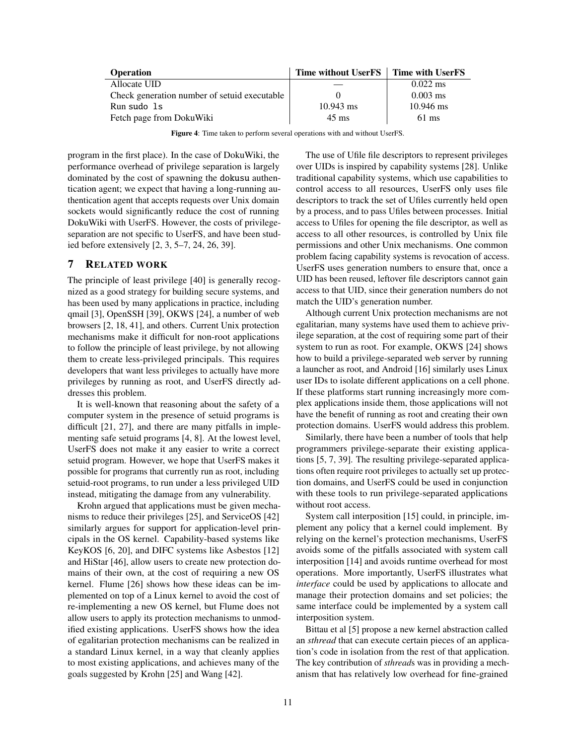| <b>Operation</b>                             | Time without UserFS   Time with UserFS |                    |
|----------------------------------------------|----------------------------------------|--------------------|
| Allocate UID                                 |                                        | $0.022 \text{ ms}$ |
| Check generation number of setuid executable |                                        | $0.003$ ms         |
| Run sudo 1s                                  | $10.943$ ms                            | $10.946$ ms        |
| Fetch page from DokuWiki                     | $45 \text{ ms}$                        | $61 \text{ ms}$    |

Figure 4: Time taken to perform several operations with and without UserFS.

program in the first place). In the case of DokuWiki, the performance overhead of privilege separation is largely dominated by the cost of spawning the dokusu authentication agent; we expect that having a long-running authentication agent that accepts requests over Unix domain sockets would significantly reduce the cost of running DokuWiki with UserFS. However, the costs of privilegeseparation are not specific to UserFS, and have been studied before extensively [2, 3, 5–7, 24, 26, 39].

# 7 RELATED WORK

The principle of least privilege [40] is generally recognized as a good strategy for building secure systems, and has been used by many applications in practice, including qmail [3], OpenSSH [39], OKWS [24], a number of web browsers [2, 18, 41], and others. Current Unix protection mechanisms make it difficult for non-root applications to follow the principle of least privilege, by not allowing them to create less-privileged principals. This requires developers that want less privileges to actually have more privileges by running as root, and UserFS directly addresses this problem.

It is well-known that reasoning about the safety of a computer system in the presence of setuid programs is difficult [21, 27], and there are many pitfalls in implementing safe setuid programs [4, 8]. At the lowest level, UserFS does not make it any easier to write a correct setuid program. However, we hope that UserFS makes it possible for programs that currently run as root, including setuid-root programs, to run under a less privileged UID instead, mitigating the damage from any vulnerability.

Krohn argued that applications must be given mechanisms to reduce their privileges [25], and ServiceOS [42] similarly argues for support for application-level principals in the OS kernel. Capability-based systems like KeyKOS [6, 20], and DIFC systems like Asbestos [12] and HiStar [46], allow users to create new protection domains of their own, at the cost of requiring a new OS kernel. Flume [26] shows how these ideas can be implemented on top of a Linux kernel to avoid the cost of re-implementing a new OS kernel, but Flume does not allow users to apply its protection mechanisms to unmodified existing applications. UserFS shows how the idea of egalitarian protection mechanisms can be realized in a standard Linux kernel, in a way that cleanly applies to most existing applications, and achieves many of the goals suggested by Krohn [25] and Wang [42].

The use of Ufile file descriptors to represent privileges over UIDs is inspired by capability systems [28]. Unlike traditional capability systems, which use capabilities to control access to all resources, UserFS only uses file descriptors to track the set of Ufiles currently held open by a process, and to pass Ufiles between processes. Initial access to Ufiles for opening the file descriptor, as well as access to all other resources, is controlled by Unix file permissions and other Unix mechanisms. One common problem facing capability systems is revocation of access. UserFS uses generation numbers to ensure that, once a UID has been reused, leftover file descriptors cannot gain access to that UID, since their generation numbers do not match the UID's generation number.

Although current Unix protection mechanisms are not egalitarian, many systems have used them to achieve privilege separation, at the cost of requiring some part of their system to run as root. For example, OKWS [24] shows how to build a privilege-separated web server by running a launcher as root, and Android [16] similarly uses Linux user IDs to isolate different applications on a cell phone. If these platforms start running increasingly more complex applications inside them, those applications will not have the benefit of running as root and creating their own protection domains. UserFS would address this problem.

Similarly, there have been a number of tools that help programmers privilege-separate their existing applications [5, 7, 39]. The resulting privilege-separated applications often require root privileges to actually set up protection domains, and UserFS could be used in conjunction with these tools to run privilege-separated applications without root access.

System call interposition [15] could, in principle, implement any policy that a kernel could implement. By relying on the kernel's protection mechanisms, UserFS avoids some of the pitfalls associated with system call interposition [14] and avoids runtime overhead for most operations. More importantly, UserFS illustrates what *interface* could be used by applications to allocate and manage their protection domains and set policies; the same interface could be implemented by a system call interposition system.

Bittau et al [5] propose a new kernel abstraction called an *sthread* that can execute certain pieces of an application's code in isolation from the rest of that application. The key contribution of *sthread*s was in providing a mechanism that has relatively low overhead for fine-grained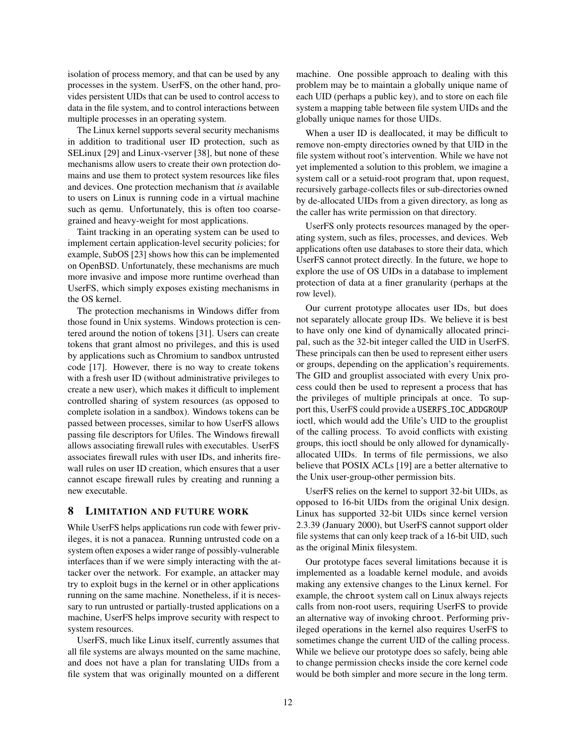isolation of process memory, and that can be used by any processes in the system. UserFS, on the other hand, provides persistent UIDs that can be used to control access to data in the file system, and to control interactions between multiple processes in an operating system.

The Linux kernel supports several security mechanisms in addition to traditional user ID protection, such as SELinux [29] and Linux-vserver [38], but none of these mechanisms allow users to create their own protection domains and use them to protect system resources like files and devices. One protection mechanism that *is* available to users on Linux is running code in a virtual machine such as qemu. Unfortunately, this is often too coarsegrained and heavy-weight for most applications.

Taint tracking in an operating system can be used to implement certain application-level security policies; for example, SubOS [23] shows how this can be implemented on OpenBSD. Unfortunately, these mechanisms are much more invasive and impose more runtime overhead than UserFS, which simply exposes existing mechanisms in the OS kernel.

The protection mechanisms in Windows differ from those found in Unix systems. Windows protection is centered around the notion of tokens [31]. Users can create tokens that grant almost no privileges, and this is used by applications such as Chromium to sandbox untrusted code [17]. However, there is no way to create tokens with a fresh user ID (without administrative privileges to create a new user), which makes it difficult to implement controlled sharing of system resources (as opposed to complete isolation in a sandbox). Windows tokens can be passed between processes, similar to how UserFS allows passing file descriptors for Ufiles. The Windows firewall allows associating firewall rules with executables. UserFS associates firewall rules with user IDs, and inherits firewall rules on user ID creation, which ensures that a user cannot escape firewall rules by creating and running a new executable.

# 8 LIMITATION AND FUTURE WORK

While UserFS helps applications run code with fewer privileges, it is not a panacea. Running untrusted code on a system often exposes a wider range of possibly-vulnerable interfaces than if we were simply interacting with the attacker over the network. For example, an attacker may try to exploit bugs in the kernel or in other applications running on the same machine. Nonetheless, if it is necessary to run untrusted or partially-trusted applications on a machine, UserFS helps improve security with respect to system resources.

UserFS, much like Linux itself, currently assumes that all file systems are always mounted on the same machine, and does not have a plan for translating UIDs from a file system that was originally mounted on a different machine. One possible approach to dealing with this problem may be to maintain a globally unique name of each UID (perhaps a public key), and to store on each file system a mapping table between file system UIDs and the globally unique names for those UIDs.

When a user ID is deallocated, it may be difficult to remove non-empty directories owned by that UID in the file system without root's intervention. While we have not yet implemented a solution to this problem, we imagine a system call or a setuid-root program that, upon request, recursively garbage-collects files or sub-directories owned by de-allocated UIDs from a given directory, as long as the caller has write permission on that directory.

UserFS only protects resources managed by the operating system, such as files, processes, and devices. Web applications often use databases to store their data, which UserFS cannot protect directly. In the future, we hope to explore the use of OS UIDs in a database to implement protection of data at a finer granularity (perhaps at the row level).

Our current prototype allocates user IDs, but does not separately allocate group IDs. We believe it is best to have only one kind of dynamically allocated principal, such as the 32-bit integer called the UID in UserFS. These principals can then be used to represent either users or groups, depending on the application's requirements. The GID and grouplist associated with every Unix process could then be used to represent a process that has the privileges of multiple principals at once. To support this, UserFS could provide a USERFS\_IOC\_ADDGROUP ioctl, which would add the Ufile's UID to the grouplist of the calling process. To avoid conflicts with existing groups, this ioctl should be only allowed for dynamicallyallocated UIDs. In terms of file permissions, we also believe that POSIX ACLs [19] are a better alternative to the Unix user-group-other permission bits.

UserFS relies on the kernel to support 32-bit UIDs, as opposed to 16-bit UIDs from the original Unix design. Linux has supported 32-bit UIDs since kernel version 2.3.39 (January 2000), but UserFS cannot support older file systems that can only keep track of a 16-bit UID, such as the original Minix filesystem.

Our prototype faces several limitations because it is implemented as a loadable kernel module, and avoids making any extensive changes to the Linux kernel. For example, the chroot system call on Linux always rejects calls from non-root users, requiring UserFS to provide an alternative way of invoking chroot. Performing privileged operations in the kernel also requires UserFS to sometimes change the current UID of the calling process. While we believe our prototype does so safely, being able to change permission checks inside the core kernel code would be both simpler and more secure in the long term.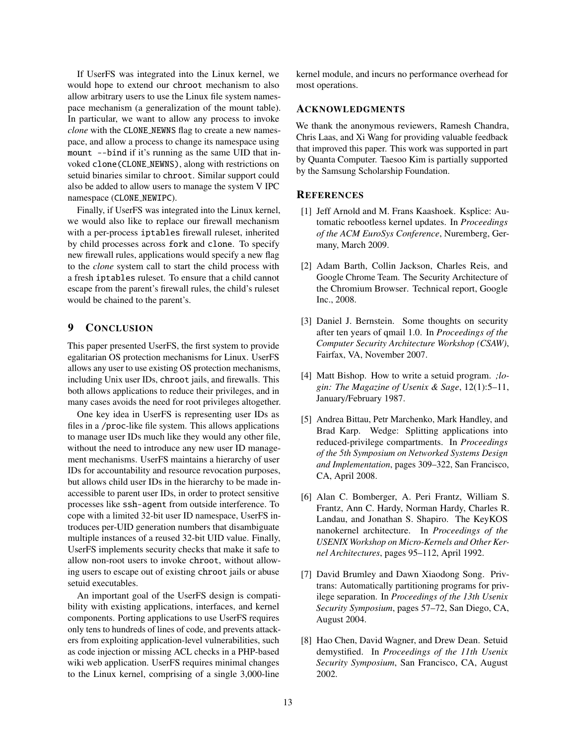If UserFS was integrated into the Linux kernel, we would hope to extend our chroot mechanism to also allow arbitrary users to use the Linux file system namespace mechanism (a generalization of the mount table). In particular, we want to allow any process to invoke *clone* with the CLONE NEWNS flag to create a new namespace, and allow a process to change its namespace using mount --bind if it's running as the same UID that invoked clone(CLONE NEWNS), along with restrictions on setuid binaries similar to chroot. Similar support could also be added to allow users to manage the system V IPC namespace (CLONE\_NEWIPC).

Finally, if UserFS was integrated into the Linux kernel, we would also like to replace our firewall mechanism with a per-process iptables firewall ruleset, inherited by child processes across fork and clone. To specify new firewall rules, applications would specify a new flag to the *clone* system call to start the child process with a fresh iptables ruleset. To ensure that a child cannot escape from the parent's firewall rules, the child's ruleset would be chained to the parent's.

# 9 CONCLUSION

This paper presented UserFS, the first system to provide egalitarian OS protection mechanisms for Linux. UserFS allows any user to use existing OS protection mechanisms, including Unix user IDs, chroot jails, and firewalls. This both allows applications to reduce their privileges, and in many cases avoids the need for root privileges altogether.

One key idea in UserFS is representing user IDs as files in a /proc-like file system. This allows applications to manage user IDs much like they would any other file, without the need to introduce any new user ID management mechanisms. UserFS maintains a hierarchy of user IDs for accountability and resource revocation purposes, but allows child user IDs in the hierarchy to be made inaccessible to parent user IDs, in order to protect sensitive processes like ssh-agent from outside interference. To cope with a limited 32-bit user ID namespace, UserFS introduces per-UID generation numbers that disambiguate multiple instances of a reused 32-bit UID value. Finally, UserFS implements security checks that make it safe to allow non-root users to invoke chroot, without allowing users to escape out of existing chroot jails or abuse setuid executables.

An important goal of the UserFS design is compatibility with existing applications, interfaces, and kernel components. Porting applications to use UserFS requires only tens to hundreds of lines of code, and prevents attackers from exploiting application-level vulnerabilities, such as code injection or missing ACL checks in a PHP-based wiki web application. UserFS requires minimal changes to the Linux kernel, comprising of a single 3,000-line

kernel module, and incurs no performance overhead for most operations.

#### ACKNOWLEDGMENTS

We thank the anonymous reviewers, Ramesh Chandra, Chris Laas, and Xi Wang for providing valuable feedback that improved this paper. This work was supported in part by Quanta Computer. Taesoo Kim is partially supported by the Samsung Scholarship Foundation.

## **REFERENCES**

- [1] Jeff Arnold and M. Frans Kaashoek. Ksplice: Automatic rebootless kernel updates. In *Proceedings of the ACM EuroSys Conference*, Nuremberg, Germany, March 2009.
- [2] Adam Barth, Collin Jackson, Charles Reis, and Google Chrome Team. The Security Architecture of the Chromium Browser. Technical report, Google Inc., 2008.
- [3] Daniel J. Bernstein. Some thoughts on security after ten years of qmail 1.0. In *Proceedings of the Computer Security Architecture Workshop (CSAW)*, Fairfax, VA, November 2007.
- [4] Matt Bishop. How to write a setuid program. *;login: The Magazine of Usenix & Sage*, 12(1):5–11, January/February 1987.
- [5] Andrea Bittau, Petr Marchenko, Mark Handley, and Brad Karp. Wedge: Splitting applications into reduced-privilege compartments. In *Proceedings of the 5th Symposium on Networked Systems Design and Implementation*, pages 309–322, San Francisco, CA, April 2008.
- [6] Alan C. Bomberger, A. Peri Frantz, William S. Frantz, Ann C. Hardy, Norman Hardy, Charles R. Landau, and Jonathan S. Shapiro. The KeyKOS nanokernel architecture. In *Proceedings of the USENIX Workshop on Micro-Kernels and Other Kernel Architectures*, pages 95–112, April 1992.
- [7] David Brumley and Dawn Xiaodong Song. Privtrans: Automatically partitioning programs for privilege separation. In *Proceedings of the 13th Usenix Security Symposium*, pages 57–72, San Diego, CA, August 2004.
- [8] Hao Chen, David Wagner, and Drew Dean. Setuid demystified. In *Proceedings of the 11th Usenix Security Symposium*, San Francisco, CA, August 2002.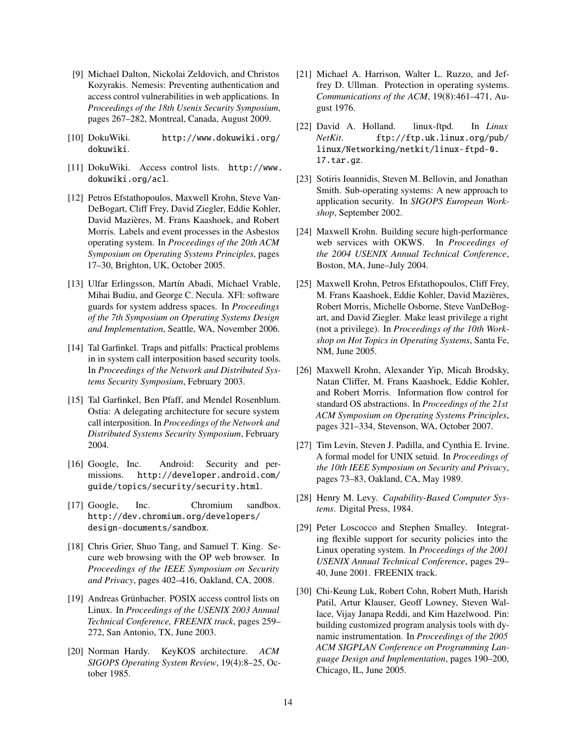- [9] Michael Dalton, Nickolai Zeldovich, and Christos Kozyrakis. Nemesis: Preventing authentication and access control vulnerabilities in web applications. In *Proceedings of the 18th Usenix Security Symposium*, pages 267–282, Montreal, Canada, August 2009.
- [10] DokuWiki. http://www.dokuwiki.org/ dokuwiki.
- [11] DokuWiki. Access control lists. http://www. dokuwiki.org/acl.
- [12] Petros Efstathopoulos, Maxwell Krohn, Steve Van-DeBogart, Cliff Frey, David Ziegler, Eddie Kohler, David Mazières, M. Frans Kaashoek, and Robert Morris. Labels and event processes in the Asbestos operating system. In *Proceedings of the 20th ACM Symposium on Operating Systems Principles*, pages 17–30, Brighton, UK, October 2005.
- [13] Ulfar Erlingsson, Martín Abadi, Michael Vrable, Mihai Budiu, and George C. Necula. XFI: software guards for system address spaces. In *Proceedings of the 7th Symposium on Operating Systems Design and Implementation*, Seattle, WA, November 2006.
- [14] Tal Garfinkel. Traps and pitfalls: Practical problems in in system call interposition based security tools. In *Proceedings of the Network and Distributed Systems Security Symposium*, February 2003.
- [15] Tal Garfinkel, Ben Pfaff, and Mendel Rosenblum. Ostia: A delegating architecture for secure system call interposition. In *Proceedings of the Network and Distributed Systems Security Symposium*, February 2004.
- [16] Google, Inc. Android: Security and permissions. http://developer.android.com/ guide/topics/security/security.html.
- [17] Google, Inc. Chromium sandbox. http://dev.chromium.org/developers/ design-documents/sandbox.
- [18] Chris Grier, Shuo Tang, and Samuel T. King. Secure web browsing with the OP web browser. In *Proceedings of the IEEE Symposium on Security and Privacy*, pages 402–416, Oakland, CA, 2008.
- [19] Andreas Grünbacher. POSIX access control lists on Linux. In *Proceedings of the USENIX 2003 Annual Technical Conference, FREENIX track*, pages 259– 272, San Antonio, TX, June 2003.
- [20] Norman Hardy. KeyKOS architecture. *ACM SIGOPS Operating System Review*, 19(4):8–25, October 1985.
- [21] Michael A. Harrison, Walter L. Ruzzo, and Jeffrey D. Ullman. Protection in operating systems. *Communications of the ACM*, 19(8):461–471, August 1976.
- [22] David A. Holland. linux-ftpd. In *Linux NetKit*. ftp://ftp.uk.linux.org/pub/ linux/Networking/netkit/linux-ftpd-0. 17.tar.gz.
- [23] Sotiris Ioannidis, Steven M. Bellovin, and Jonathan Smith. Sub-operating systems: A new approach to application security. In *SIGOPS European Workshop*, September 2002.
- [24] Maxwell Krohn. Building secure high-performance web services with OKWS. In *Proceedings of the 2004 USENIX Annual Technical Conference*, Boston, MA, June–July 2004.
- [25] Maxwell Krohn, Petros Efstathopoulos, Cliff Frey, M. Frans Kaashoek, Eddie Kohler, David Mazieres, ` Robert Morris, Michelle Osborne, Steve VanDeBogart, and David Ziegler. Make least privilege a right (not a privilege). In *Proceedings of the 10th Workshop on Hot Topics in Operating Systems*, Santa Fe, NM, June 2005.
- [26] Maxwell Krohn, Alexander Yip, Micah Brodsky, Natan Cliffer, M. Frans Kaashoek, Eddie Kohler, and Robert Morris. Information flow control for standard OS abstractions. In *Proceedings of the 21st ACM Symposium on Operating Systems Principles*, pages 321–334, Stevenson, WA, October 2007.
- [27] Tim Levin, Steven J. Padilla, and Cynthia E. Irvine. A formal model for UNIX setuid. In *Proceedings of the 10th IEEE Symposium on Security and Privacy*, pages 73–83, Oakland, CA, May 1989.
- [28] Henry M. Levy. *Capability-Based Computer Systems*. Digital Press, 1984.
- [29] Peter Loscocco and Stephen Smalley. Integrating flexible support for security policies into the Linux operating system. In *Proceedings of the 2001 USENIX Annual Technical Conference*, pages 29– 40, June 2001. FREENIX track.
- [30] Chi-Keung Luk, Robert Cohn, Robert Muth, Harish Patil, Artur Klauser, Geoff Lowney, Steven Wallace, Vijay Janapa Reddi, and Kim Hazelwood. Pin: building customized program analysis tools with dynamic instrumentation. In *Proceedings of the 2005 ACM SIGPLAN Conference on Programming Language Design and Implementation*, pages 190–200, Chicago, IL, June 2005.